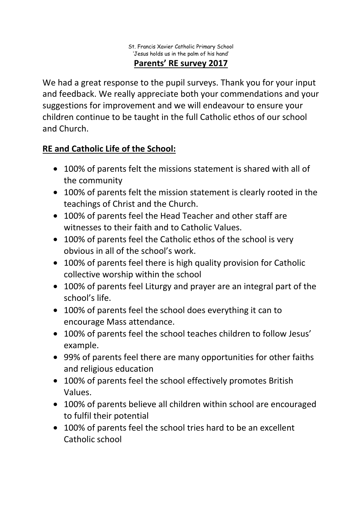We had a great response to the pupil surveys. Thank you for your input and feedback. We really appreciate both your commendations and your suggestions for improvement and we will endeavour to ensure your children continue to be taught in the full Catholic ethos of our school and Church.

## **RE and Catholic Life of the School:**

- 100% of parents felt the missions statement is shared with all of the community
- 100% of parents felt the mission statement is clearly rooted in the teachings of Christ and the Church.
- 100% of parents feel the Head Teacher and other staff are witnesses to their faith and to Catholic Values.
- 100% of parents feel the Catholic ethos of the school is very obvious in all of the school's work.
- 100% of parents feel there is high quality provision for Catholic collective worship within the school
- 100% of parents feel Liturgy and prayer are an integral part of the school's life.
- 100% of parents feel the school does everything it can to encourage Mass attendance.
- 100% of parents feel the school teaches children to follow Jesus' example.
- 99% of parents feel there are many opportunities for other faiths and religious education
- 100% of parents feel the school effectively promotes British Values.
- 100% of parents believe all children within school are encouraged to fulfil their potential
- 100% of parents feel the school tries hard to be an excellent Catholic school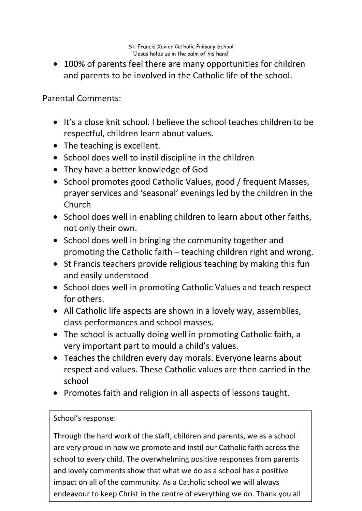• 100% of parents feel there are many opportunities for children and parents to be involved in the Catholic life of the school.

Parental Comments:

- It's a close knit school. I believe the school teaches children to be respectful, children learn about values.
- The teaching is excellent.
- School does well to instil discipline in the children
- They have a better knowledge of God
- School promotes good Catholic Values, good / frequent Masses, prayer services and 'seasonal' evenings led by the children in the Church
- School does well in enabling children to learn about other faiths, not only their own.
- School does well in bringing the community together and promoting the Catholic faith – teaching children right and wrong.
- St Francis teachers provide religious teaching by making this fun and easily understood
- School does well in promoting Catholic Values and teach respect for others.
- All Catholic life aspects are shown in a lovely way, assemblies, class performances and school masses.
- The school is actually doing well in promoting Catholic faith, a very important part to mould a child's values.
- Teaches the children every day morals. Everyone learns about respect and values. These Catholic values are then carried in the school
- Promotes faith and religion in all aspects of lessons taught.

## School's response:

Through the hard work of the staff, children and parents, we as a school are very proud in how we promote and instil our Catholic faith across the school to every child. The overwhelming positive responses from parents and lovely comments show that what we do as a school has a positive impact on all of the community. As a Catholic school we will always endeavour to keep Christ in the centre of everything we do. Thank you all